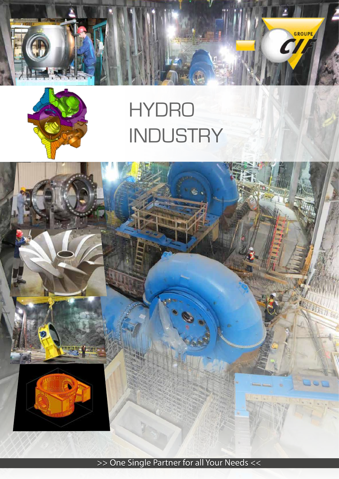



# HYDRO **INDUSTRY**



>> One Single Partner for all Your Needs <<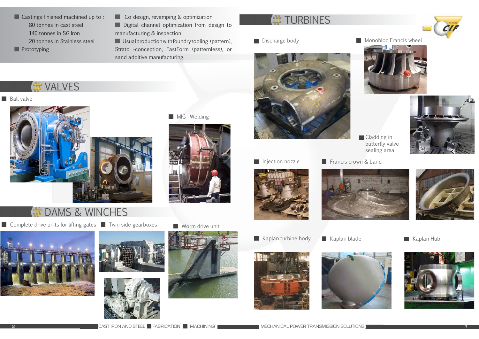



**Monobloc Francis wheel** 





■ Castings finished machined up to : 80 tonnes in cast steel 140 tonnes in SG Iron 20 tonnes in Stainless steel

**Prototyping** 

**Co-design, revamping & optimization** 

**Cladding in** butterfly valve sealing area









Digital channel optimization from design to manufacturing & inspection





### **VALVES**

#### **Ball valve**



## DAMS & WINCHES

Complete drive units for lifting gates **No. Twin side gearboxes** Worm drive unit

**Usual production with foundry tooling (pattern),** Strato -conception, FastForm (patternless), or sand additive manufacturing.

MIG Welding



#### **TURBINES**



Discharge body







**Injection nozzle** 









- 
-